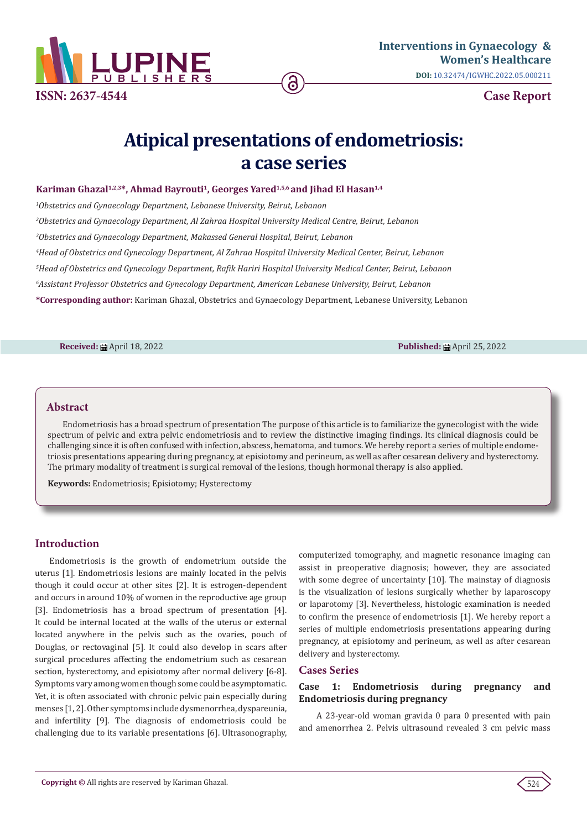

# **Atipical presentations of endometriosis: a case series**

## Kariman Ghazal<sup>1,2,3\*</sup>, Ahmad Bayrouti<sup>1</sup>, Georges Yared<sup>1,5,6</sup> and Jihad El Hasan<sup>1,4</sup>

 *Obstetrics and Gynaecology Department, Lebanese University, Beirut, Lebanon Obstetrics and Gynaecology Department, Al Zahraa Hospital University Medical Centre, Beirut, Lebanon Obstetrics and Gynaecology Department, Makassed General Hospital, Beirut, Lebanon Head of Obstetrics and Gynecology Department, Al Zahraa Hospital University Medical Center, Beirut, Lebanon Head of Obstetrics and Gynecology Department, Rafik Hariri Hospital University Medical Center, Beirut, Lebanon Assistant Professor Obstetrics and Gynecology Department, American Lebanese University, Beirut, Lebanon* **\*Corresponding author:** Kariman Ghazal, Obstetrics and Gynaecology Department, Lebanese University, Lebanon

**Received:** April 18, 2022 **Published:** April 25, 2022

## **Abstract**

Endometriosis has a broad spectrum of presentation The purpose of this article is to familiarize the gynecologist with the wide spectrum of pelvic and extra pelvic endometriosis and to review the distinctive imaging findings. Its clinical diagnosis could be challenging since it is often confused with infection, abscess, hematoma, and tumors. We hereby report a series of multiple endometriosis presentations appearing during pregnancy, at episiotomy and perineum, as well as after cesarean delivery and hysterectomy. The primary modality of treatment is surgical removal of the lesions, though hormonal therapy is also applied.

**Keywords:** Endometriosis; Episiotomy; Hysterectomy

## **Introduction**

Endometriosis is the growth of endometrium outside the uterus [1]. Endometriosis lesions are mainly located in the pelvis though it could occur at other sites [2]. It is estrogen-dependent and occurs in around 10% of women in the reproductive age group [3]. Endometriosis has a broad spectrum of presentation [4]. It could be internal located at the walls of the uterus or external located anywhere in the pelvis such as the ovaries, pouch of Douglas, or rectovaginal [5]. It could also develop in scars after surgical procedures affecting the endometrium such as cesarean section, hysterectomy, and episiotomy after normal delivery [6-8]. Symptoms vary among women though some could be asymptomatic. Yet, it is often associated with chronic pelvic pain especially during menses [1, 2]. Other symptoms include dysmenorrhea, dyspareunia, and infertility [9]. The diagnosis of endometriosis could be challenging due to its variable presentations [6]. Ultrasonography,

computerized tomography, and magnetic resonance imaging can assist in preoperative diagnosis; however, they are associated with some degree of uncertainty [10]. The mainstay of diagnosis is the visualization of lesions surgically whether by laparoscopy or laparotomy [3]. Nevertheless, histologic examination is needed to confirm the presence of endometriosis [1]. We hereby report a series of multiple endometriosis presentations appearing during pregnancy, at episiotomy and perineum, as well as after cesarean delivery and hysterectomy.

## **Cases Series**

## **Case 1: Endometriosis during pregnancy and Endometriosis during pregnancy**

 A 23-year-old woman gravida 0 para 0 presented with pain and amenorrhea 2. Pelvis ultrasound revealed 3 cm pelvic mass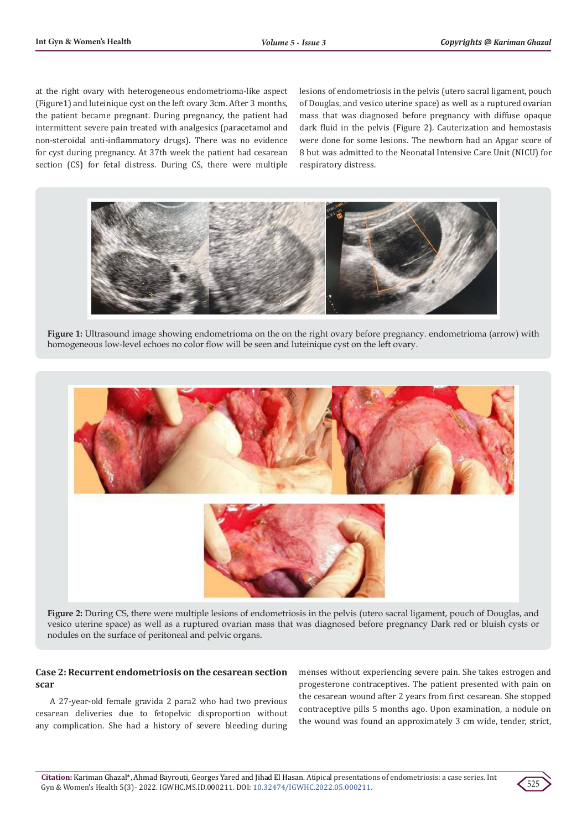at the right ovary with heterogeneous endometrioma-like aspect (Figure1) and luteinique cyst on the left ovary 3cm. After 3 months, the patient became pregnant. During pregnancy, the patient had intermittent severe pain treated with analgesics (paracetamol and non-steroidal anti-inflammatory drugs). There was no evidence for cyst during pregnancy. At 37th week the patient had cesarean section (CS) for fetal distress. During CS, there were multiple

lesions of endometriosis in the pelvis (utero sacral ligament, pouch of Douglas, and vesico uterine space) as well as a ruptured ovarian mass that was diagnosed before pregnancy with diffuse opaque dark fluid in the pelvis (Figure 2). Cauterization and hemostasis were done for some lesions. The newborn had an Apgar score of 8 but was admitted to the Neonatal Intensive Care Unit (NICU) for respiratory distress.



**Figure 1:** Ultrasound image showing endometrioma on the on the right ovary before pregnancy. endometrioma (arrow) with homogeneous low-level echoes no color flow will be seen and luteinique cyst on the left ovary.



**Figure 2:** During CS, there were multiple lesions of endometriosis in the pelvis (utero sacral ligament, pouch of Douglas, and vesico uterine space) as well as a ruptured ovarian mass that was diagnosed before pregnancy Dark red or bluish cysts or nodules on the surface of peritoneal and pelvic organs.

## **Case 2: Recurrent endometriosis on the cesarean section scar**

A 27-year-old female gravida 2 para2 who had two previous cesarean deliveries due to fetopelvic disproportion without any complication. She had a history of severe bleeding during menses without experiencing severe pain. She takes estrogen and progesterone contraceptives. The patient presented with pain on the cesarean wound after 2 years from first cesarean. She stopped contraceptive pills 5 months ago. Upon examination, a nodule on the wound was found an approximately 3 cm wide, tender, strict,

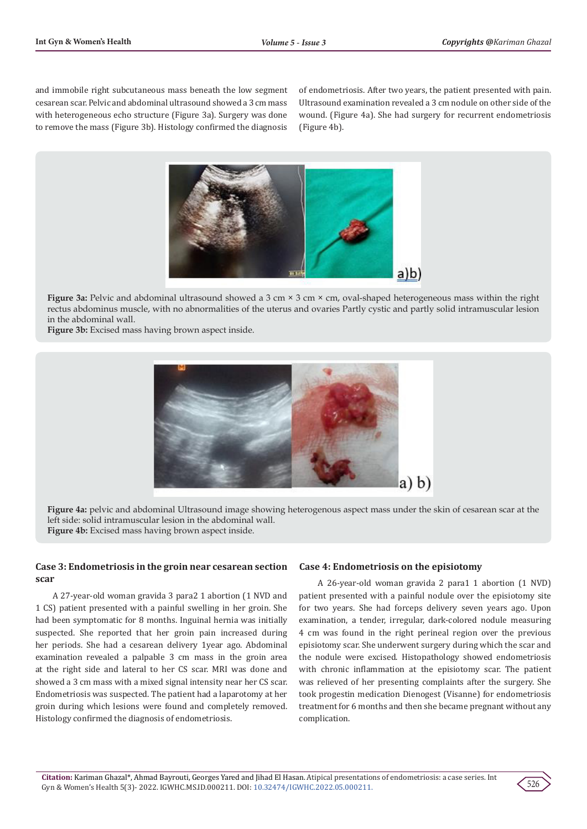and immobile right subcutaneous mass beneath the low segment cesarean scar. Pelvic and abdominal ultrasound showed a 3 cm mass with heterogeneous echo structure (Figure 3a). Surgery was done to remove the mass (Figure 3b). Histology confirmed the diagnosis of endometriosis. After two years, the patient presented with pain. Ultrasound examination revealed a 3 cm nodule on other side of the wound. (Figure 4a). She had surgery for recurrent endometriosis (Figure 4b).



**Figure 3a:** Pelvic and abdominal ultrasound showed a 3 cm × 3 cm × cm, oval-shaped heterogeneous mass within the right rectus abdominus muscle, with no abnormalities of the uterus and ovaries Partly cystic and partly solid intramuscular lesion in the abdominal wall.

**Figure 3b:** Excised mass having brown aspect inside.



**Figure 4a:** pelvic and abdominal Ultrasound image showing heterogenous aspect mass under the skin of cesarean scar at the left side: solid intramuscular lesion in the abdominal wall. **Figure 4b:** Excised mass having brown aspect inside.

## **Case 3: Endometriosis in the groin near cesarean section scar**

 A 27-year-old woman gravida 3 para2 1 abortion (1 NVD and 1 CS) patient presented with a painful swelling in her groin. She had been symptomatic for 8 months. Inguinal hernia was initially suspected. She reported that her groin pain increased during her periods. She had a cesarean delivery 1year ago. Abdominal examination revealed a palpable 3 cm mass in the groin area at the right side and lateral to her CS scar. MRI was done and showed a 3 cm mass with a mixed signal intensity near her CS scar. Endometriosis was suspected. The patient had a laparotomy at her groin during which lesions were found and completely removed. Histology confirmed the diagnosis of endometriosis.

## **Case 4: Endometriosis on the episiotomy**

 A 26-year-old woman gravida 2 para1 1 abortion (1 NVD) patient presented with a painful nodule over the episiotomy site for two years. She had forceps delivery seven years ago. Upon examination, a tender, irregular, dark-colored nodule measuring 4 cm was found in the right perineal region over the previous episiotomy scar. She underwent surgery during which the scar and the nodule were excised. Histopathology showed endometriosis with chronic inflammation at the episiotomy scar. The patient was relieved of her presenting complaints after the surgery. She took progestin medication Dienogest (Visanne) for endometriosis treatment for 6 months and then she became pregnant without any complication.

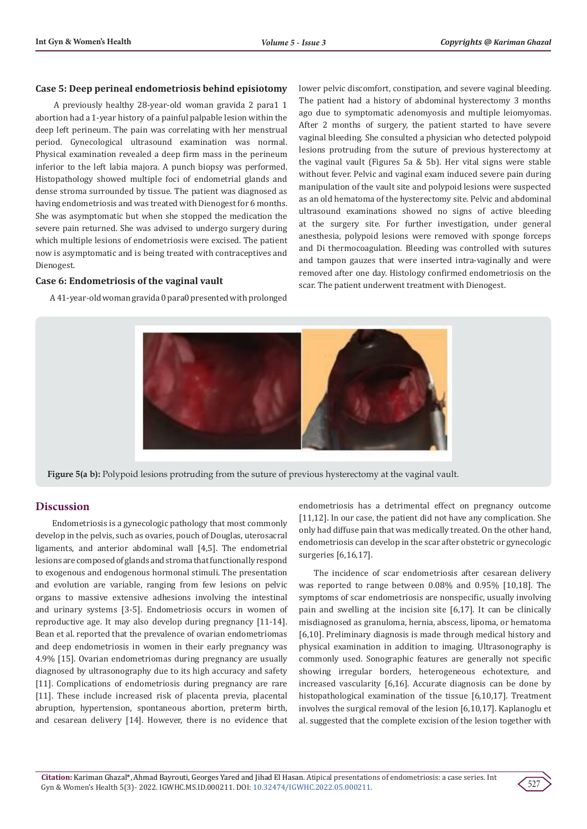#### **Case 5: Deep perineal endometriosis behind episiotomy**

 A previously healthy 28-year-old woman gravida 2 para1 1 abortion had a 1-year history of a painful palpable lesion within the deep left perineum. The pain was correlating with her menstrual period. Gynecological ultrasound examination was normal. Physical examination revealed a deep firm mass in the perineum inferior to the left labia majora. A punch biopsy was performed. Histopathology showed multiple foci of endometrial glands and dense stroma surrounded by tissue. The patient was diagnosed as having endometriosis and was treated with Dienogest for 6 months. She was asymptomatic but when she stopped the medication the severe pain returned. She was advised to undergo surgery during which multiple lesions of endometriosis were excised. The patient now is asymptomatic and is being treated with contraceptives and Dienogest.

#### **Case 6: Endometriosis of the vaginal vault**

A 41-year-old woman gravida 0 para0 presented with prolonged

lower pelvic discomfort, constipation, and severe vaginal bleeding. The patient had a history of abdominal hysterectomy 3 months ago due to symptomatic adenomyosis and multiple leiomyomas. After 2 months of surgery, the patient started to have severe vaginal bleeding. She consulted a physician who detected polypoid lesions protruding from the suture of previous hysterectomy at the vaginal vault (Figures 5a & 5b). Her vital signs were stable without fever. Pelvic and vaginal exam induced severe pain during manipulation of the vault site and polypoid lesions were suspected as an old hematoma of the hysterectomy site. Pelvic and abdominal ultrasound examinations showed no signs of active bleeding at the surgery site. For further investigation, under general anesthesia, polypoid lesions were removed with sponge forceps and Di thermocoagulation. Bleeding was controlled with sutures and tampon gauzes that were inserted intra-vaginally and were removed after one day. Histology confirmed endometriosis on the scar. The patient underwent treatment with Dienogest.



**Figure 5(a b):** Polypoid lesions protruding from the suture of previous hysterectomy at the vaginal vault.

## **Discussion**

 Endometriosis is a gynecologic pathology that most commonly develop in the pelvis, such as ovaries, pouch of Douglas, uterosacral ligaments, and anterior abdominal wall [4,5]. The endometrial lesions are composed of glands and stroma that functionally respond to exogenous and endogenous hormonal stimuli. The presentation and evolution are variable, ranging from few lesions on pelvic organs to massive extensive adhesions involving the intestinal and urinary systems [3-5]. Endometriosis occurs in women of reproductive age. It may also develop during pregnancy [11-14]. Bean et al. reported that the prevalence of ovarian endometriomas and deep endometriosis in women in their early pregnancy was 4.9% [15]. Ovarian endometriomas during pregnancy are usually diagnosed by ultrasonography due to its high accuracy and safety [11]. Complications of endometriosis during pregnancy are rare [11]. These include increased risk of placenta previa, placental abruption, hypertension, spontaneous abortion, preterm birth, and cesarean delivery [14]. However, there is no evidence that endometriosis has a detrimental effect on pregnancy outcome [11,12]. In our case, the patient did not have any complication. She only had diffuse pain that was medically treated. On the other hand, endometriosis can develop in the scar after obstetric or gynecologic surgeries [6,16,17].

The incidence of scar endometriosis after cesarean delivery was reported to range between 0.08% and 0.95% [10,18]. The symptoms of scar endometriosis are nonspecific, usually involving pain and swelling at the incision site [6,17]. It can be clinically misdiagnosed as granuloma, hernia, abscess, lipoma, or hematoma [6,10]. Preliminary diagnosis is made through medical history and physical examination in addition to imaging. Ultrasonography is commonly used. Sonographic features are generally not specific showing irregular borders, heterogeneous echotexture, and increased vascularity [6,16]. Accurate diagnosis can be done by histopathological examination of the tissue [6,10,17]. Treatment involves the surgical removal of the lesion [6,10,17]. Kaplanoglu et al. suggested that the complete excision of the lesion together with

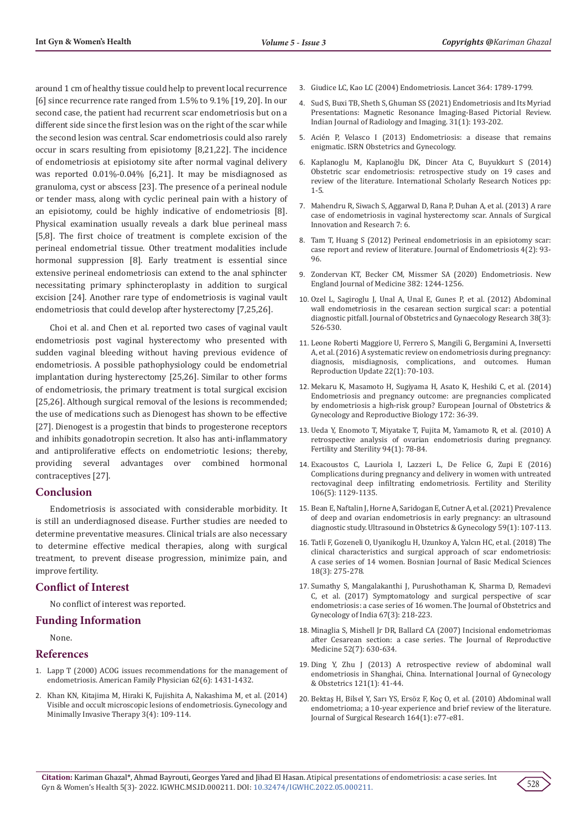around 1 cm of healthy tissue could help to prevent local recurrence [6] since recurrence rate ranged from 1.5% to 9.1% [19, 20]. In our second case, the patient had recurrent scar endometriosis but on a different side since the first lesion was on the right of the scar while the second lesion was central. Scar endometriosis could also rarely occur in scars resulting from episiotomy [8,21,22]. The incidence of endometriosis at episiotomy site after normal vaginal delivery was reported 0.01%-0.04% [6,21]. It may be misdiagnosed as granuloma, cyst or abscess [23]. The presence of a perineal nodule or tender mass, along with cyclic perineal pain with a history of an episiotomy, could be highly indicative of endometriosis [8]. Physical examination usually reveals a dark blue perineal mass [5,8]. The first choice of treatment is complete excision of the perineal endometrial tissue. Other treatment modalities include hormonal suppression [8]. Early treatment is essential since extensive perineal endometriosis can extend to the anal sphincter necessitating primary sphincteroplasty in addition to surgical excision [24]. Another rare type of endometriosis is vaginal vault endometriosis that could develop after hysterectomy [7,25,26].

Choi et al. and Chen et al. reported two cases of vaginal vault endometriosis post vaginal hysterectomy who presented with sudden vaginal bleeding without having previous evidence of endometriosis. A possible pathophysiology could be endometrial implantation during hysterectomy [25,26]. Similar to other forms of endometriosis, the primary treatment is total surgical excision [25,26]. Although surgical removal of the lesions is recommended; the use of medications such as Dienogest has shown to be effective [27]. Dienogest is a progestin that binds to progesterone receptors and inhibits gonadotropin secretion. It also has anti-inflammatory and antiproliferative effects on endometriotic lesions; thereby, providing several advantages over combined hormonal contraceptives [27].

# **Conclusion**

Endometriosis is associated with considerable morbidity. It is still an underdiagnosed disease. Further studies are needed to determine preventative measures. Clinical trials are also necessary to determine effective medical therapies, along with surgical treatment, to prevent disease progression, minimize pain, and improve fertility.

## **Conflict of Interest**

No conflict of interest was reported.

## **Funding Information**

None.

#### **References**

- 1. [Lapp T \(2000\) ACOG issues recommendations for the management of](https://www.aafp.org/afp/2000/0915/p1431.html)  [endometriosis. American Family Physician 62\(6\): 1431-1432.](https://www.aafp.org/afp/2000/0915/p1431.html)
- 2. [Khan KN, Kitajima M, Hiraki K, Fujishita A, Nakashima M, et al. \(2014\)](https://www.sciencedirect.com/science/article/pii/S2213307014000550)  [Visible and occult microscopic lesions of endometriosis. Gynecology and](https://www.sciencedirect.com/science/article/pii/S2213307014000550)  [Minimally Invasive Therapy 3\(4\): 109-114.](https://www.sciencedirect.com/science/article/pii/S2213307014000550)
- 3. Giudice LC, Kao LC (2004) Endometriosis. Lancet 364: 1789-1799.
- 4. [Sud S, Buxi TB, Sheth S, Ghuman SS \(2021\) Endometriosis and Its Myriad](https://www.ncbi.nlm.nih.gov/pmc/articles/PMC8299511/) [Presentations: Magnetic Resonance Imaging-Based Pictorial Review.](https://www.ncbi.nlm.nih.gov/pmc/articles/PMC8299511/) [Indian Journal of Radiology and Imaging. 31\(1\): 193-202.](https://www.ncbi.nlm.nih.gov/pmc/articles/PMC8299511/)
- 5. [Acién P, Velasco I \(2013\) Endometriosis: a disease that remains](https://www.hindawi.com/journals/isrn/2013/242149/) [enigmatic. ISRN Obstetrics and Gynecology.](https://www.hindawi.com/journals/isrn/2013/242149/)
- 6. [Kaplanoglu M, Kaplanoğlu DK, Dincer Ata C, Buyukkurt S \(2014\)](https://web.p.ebscohost.com/abstract?direct=true&profile=ehost&scope=site&authtype=crawler&jrnl=20905742&AN=100568045&h=xJ0EUhZaj0tTNd7zXUseL4qOxadyjBkBHcOfTxzwkOfkzIOrJ3W3HbdhNZb8kEjjNjNdh76xfnIUpQ2NyTT6Dg%3d%3d&crl=c&resultNs=AdminWebAuth&resultLocal=ErrCrlNotAuth&crlhashurl=login.aspx%3fdirect%3dtrue%26profile%3dehost%26scope%3dsite%26authtype%3dcrawler%26jrnl%3d20905742%26AN%3d100568045) [Obstetric scar endometriosis: retrospective study on 19 cases and](https://web.p.ebscohost.com/abstract?direct=true&profile=ehost&scope=site&authtype=crawler&jrnl=20905742&AN=100568045&h=xJ0EUhZaj0tTNd7zXUseL4qOxadyjBkBHcOfTxzwkOfkzIOrJ3W3HbdhNZb8kEjjNjNdh76xfnIUpQ2NyTT6Dg%3d%3d&crl=c&resultNs=AdminWebAuth&resultLocal=ErrCrlNotAuth&crlhashurl=login.aspx%3fdirect%3dtrue%26profile%3dehost%26scope%3dsite%26authtype%3dcrawler%26jrnl%3d20905742%26AN%3d100568045) [review of the literature. International Scholarly Research Notices pp:](https://web.p.ebscohost.com/abstract?direct=true&profile=ehost&scope=site&authtype=crawler&jrnl=20905742&AN=100568045&h=xJ0EUhZaj0tTNd7zXUseL4qOxadyjBkBHcOfTxzwkOfkzIOrJ3W3HbdhNZb8kEjjNjNdh76xfnIUpQ2NyTT6Dg%3d%3d&crl=c&resultNs=AdminWebAuth&resultLocal=ErrCrlNotAuth&crlhashurl=login.aspx%3fdirect%3dtrue%26profile%3dehost%26scope%3dsite%26authtype%3dcrawler%26jrnl%3d20905742%26AN%3d100568045) [1-5.](https://web.p.ebscohost.com/abstract?direct=true&profile=ehost&scope=site&authtype=crawler&jrnl=20905742&AN=100568045&h=xJ0EUhZaj0tTNd7zXUseL4qOxadyjBkBHcOfTxzwkOfkzIOrJ3W3HbdhNZb8kEjjNjNdh76xfnIUpQ2NyTT6Dg%3d%3d&crl=c&resultNs=AdminWebAuth&resultLocal=ErrCrlNotAuth&crlhashurl=login.aspx%3fdirect%3dtrue%26profile%3dehost%26scope%3dsite%26authtype%3dcrawler%26jrnl%3d20905742%26AN%3d100568045)
- 7. [Mahendru R, Siwach S, Aggarwal D, Rana P, Duhan A, et al. \(2013\) A rare](https://www.ncbi.nlm.nih.gov/pmc/articles/PMC3707828/) [case of endometriosis in vaginal hysterectomy scar. Annals of Surgical](https://www.ncbi.nlm.nih.gov/pmc/articles/PMC3707828/) [Innovation and Research 7: 6.](https://www.ncbi.nlm.nih.gov/pmc/articles/PMC3707828/)
- 8. [Tam T, Huang S \(2012\) Perineal endometriosis in an episiotomy scar:](https://journals.sagepub.com/doi/10.5301/JE.2012.9410) [case report and review of literature. Journal of Endometriosis 4\(2\): 93-](https://journals.sagepub.com/doi/10.5301/JE.2012.9410) [96.](https://journals.sagepub.com/doi/10.5301/JE.2012.9410)
- 9. Zondervan KT, Becker CM, Missmer SA (2020) Endometriosis. New England Journal of Medicine 382: 1244-1256.
- 10. [Ozel L, Sagiroglu J, Unal A, Unal E, Gunes P, et al. \(2012\) Abdominal](https://pubmed.ncbi.nlm.nih.gov/22381104/) [wall endometriosis in the cesarean section surgical scar: a potential](https://pubmed.ncbi.nlm.nih.gov/22381104/) [diagnostic pitfall. Journal of Obstetrics and Gynaecology Research 38\(3\):](https://pubmed.ncbi.nlm.nih.gov/22381104/) [526-530.](https://pubmed.ncbi.nlm.nih.gov/22381104/)
- 11. [Leone Roberti Maggiore U, Ferrero S, Mangili G, Bergamini A, Inversetti](https://pubmed.ncbi.nlm.nih.gov/26450609/) [A, et al. \(2016\) A systematic review on endometriosis during pregnancy:](https://pubmed.ncbi.nlm.nih.gov/26450609/) [diagnosis, misdiagnosis, complications, and outcomes. Human](https://pubmed.ncbi.nlm.nih.gov/26450609/) [Reproduction Update 22\(1\): 70-103.](https://pubmed.ncbi.nlm.nih.gov/26450609/)
- 12. [Mekaru K, Masamoto H, Sugiyama H, Asato K, Heshiki C, et al. \(2014\)](https://pubmed.ncbi.nlm.nih.gov/24268981/) [Endometriosis and pregnancy outcome: are pregnancies complicated](https://pubmed.ncbi.nlm.nih.gov/24268981/) [by endometriosis a high-risk group? European Journal of Obstetrics &](https://pubmed.ncbi.nlm.nih.gov/24268981/) [Gynecology and Reproductive Biology 172: 36-39.](https://pubmed.ncbi.nlm.nih.gov/24268981/)
- 13. Ueda Y, Enomoto T, Miyatake T, Fujita M, Yamamoto R, et al. (2010) A retrospective analysis of ovarian endometriosis during pregnancy. Fertility and Sterility 94(1): 78-84.
- 14. [Exacoustos C, Lauriola I, Lazzeri L, De Felice G, Zupi E \(2016\)](https://pubmed.ncbi.nlm.nih.gov/27445198/) [Complications during pregnancy and delivery in women with untreated](https://pubmed.ncbi.nlm.nih.gov/27445198/) [rectovaginal deep infiltrating endometriosis. Fertility and Sterility](https://pubmed.ncbi.nlm.nih.gov/27445198/) [106\(5\): 1129-1135.](https://pubmed.ncbi.nlm.nih.gov/27445198/)
- 15. Bean E, Naftalin J, Horne A, Saridogan E, Cutner A, et al. (2021) Prevalence of deep and ovarian endometriosis in early pregnancy: an ultrasound diagnostic study. Ultrasound in Obstetrics & Gynecology 59(1): 107-113.
- 16. [Tatli F, Gozeneli O, Uyanikoglu H, Uzunkoy A, Yalcın HC, et al. \(2018\) The](https://pubmed.ncbi.nlm.nih.gov/29285999/) [clinical characteristics and surgical approach of scar endometriosis:](https://pubmed.ncbi.nlm.nih.gov/29285999/) [A case series of 14 women. Bosnian Journal of Basic Medical Sciences](https://pubmed.ncbi.nlm.nih.gov/29285999/) [18\(3\): 275-278.](https://pubmed.ncbi.nlm.nih.gov/29285999/)
- 17. [Sumathy S, Mangalakanthi J, Purushothaman K, Sharma D, Remadevi](https://pubmed.ncbi.nlm.nih.gov/28546671/) [C, et al. \(2017\) Symptomatology and surgical perspective of scar](https://pubmed.ncbi.nlm.nih.gov/28546671/) [endometriosis: a case series of 16 women. The Journal of Obstetrics and](https://pubmed.ncbi.nlm.nih.gov/28546671/) [Gynecology of India 67\(3\): 218-223.](https://pubmed.ncbi.nlm.nih.gov/28546671/)
- 18. [Minaglia S, Mishell Jr DR, Ballard CA \(2007\) Incisional endometriomas](https://pubmed.ncbi.nlm.nih.gov/17847762/) [after Cesarean section: a case series. The Journal of Reproductive](https://pubmed.ncbi.nlm.nih.gov/17847762/) [Medicine 52\(7\): 630-634.](https://pubmed.ncbi.nlm.nih.gov/17847762/)
- 19. [Ding Y, Zhu J \(2013\) A retrospective review of abdominal wall](https://pubmed.ncbi.nlm.nih.gov/23352735/) [endometriosis in Shanghai, China. International Journal of Gynecology](https://pubmed.ncbi.nlm.nih.gov/23352735/) [& Obstetrics 121\(1\): 41-44.](https://pubmed.ncbi.nlm.nih.gov/23352735/)
- 20. [Bektaş H, Bilsel Y, Sarı YS, Ersöz F, Koç O, et al. \(2010\) Abdominal wall](https://pubmed.ncbi.nlm.nih.gov/20855082/) [endometrioma; a 10-year experience and brief review of the literature.](https://pubmed.ncbi.nlm.nih.gov/20855082/) [Journal of Surgical Research 164\(1\): e77-e81.](https://pubmed.ncbi.nlm.nih.gov/20855082/)